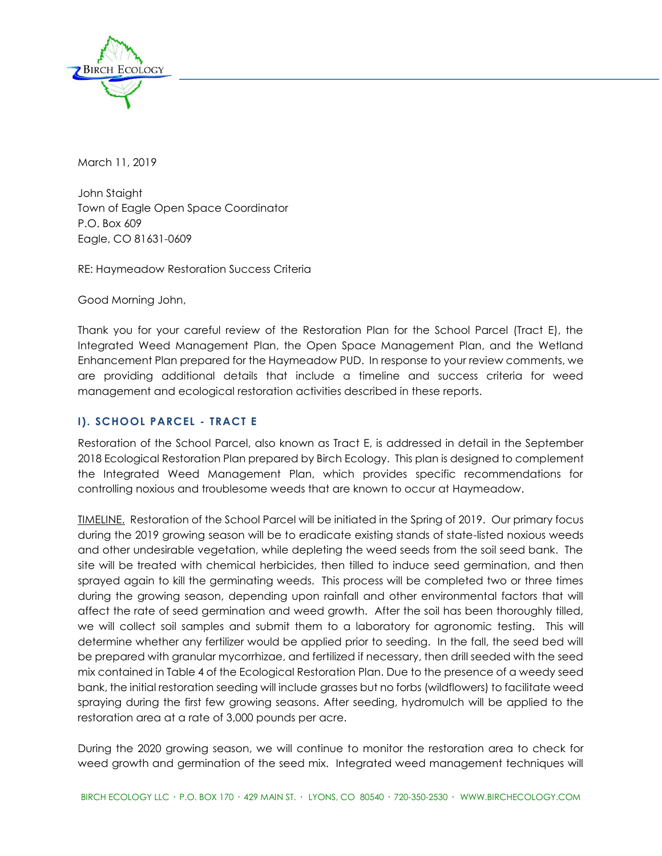

March 11, 2019

John Staight Town of Eagle Open Space Coordinator P.O. Box 609 Eagle, CO 81631-0609

RE: Haymeadow Restoration Success Criteria

Good Morning John,

Thank you for your careful review of the Restoration Plan for the School Parcel (Tract E), the Integrated Weed Management Plan, the Open Space Management Plan, and the Wetland Enhancement Plan prepared for the Haymeadow PUD. In response to your review comments, we are providing additional details that include a timeline and success criteria for weed management and ecological restoration activities described in these reports.

# **I). SCHOOL PARCEL - TRACT E**

Restoration of the School Parcel, also known as Tract E, is addressed in detail in the September 2018 Ecological Restoration Plan prepared by Birch Ecology. This plan is designed to complement the Integrated Weed Management Plan, which provides specific recommendations for controlling noxious and troublesome weeds that are known to occur at Haymeadow.

TIMELINE. Restoration of the School Parcel will be initiated in the Spring of 2019. Our primary focus during the 2019 growing season will be to eradicate existing stands of state-listed noxious weeds and other undesirable vegetation, while depleting the weed seeds from the soil seed bank. The site will be treated with chemical herbicides, then tilled to induce seed germination, and then sprayed again to kill the germinating weeds. This process will be completed two or three times during the growing season, depending upon rainfall and other environmental factors that will affect the rate of seed germination and weed growth. After the soil has been thoroughly tilled, we will collect soil samples and submit them to a laboratory for agronomic testing. This will determine whether any fertilizer would be applied prior to seeding. In the fall, the seed bed will be prepared with granular mycorrhizae, and fertilized if necessary, then drill seeded with the seed mix contained in Table 4 of the Ecological Restoration Plan. Due to the presence of a weedy seed bank, the initial restoration seeding will include grasses but no forbs (wildflowers) to facilitate weed spraying during the first few growing seasons. After seeding, hydromulch will be applied to the restoration area at a rate of 3,000 pounds per acre.

During the 2020 growing season, we will continue to monitor the restoration area to check for weed growth and germination of the seed mix. Integrated weed management techniques will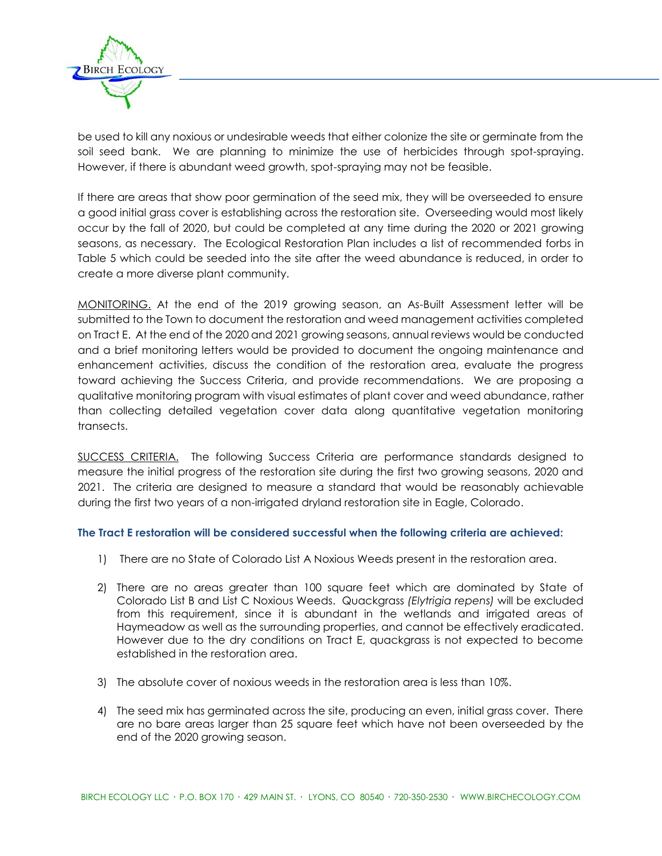

be used to kill any noxious or undesirable weeds that either colonize the site or germinate from the soil seed bank. We are planning to minimize the use of herbicides through spot-spraying. However, if there is abundant weed growth, spot-spraying may not be feasible.

If there are areas that show poor germination of the seed mix, they will be overseeded to ensure a good initial grass cover is establishing across the restoration site. Overseeding would most likely occur by the fall of 2020, but could be completed at any time during the 2020 or 2021 growing seasons, as necessary. The Ecological Restoration Plan includes a list of recommended forbs in Table 5 which could be seeded into the site after the weed abundance is reduced, in order to create a more diverse plant community.

MONITORING. At the end of the 2019 growing season, an As-Built Assessment letter will be submitted to the Town to document the restoration and weed management activities completed on Tract E. At the end of the 2020 and 2021 growing seasons, annual reviews would be conducted and a brief monitoring letters would be provided to document the ongoing maintenance and enhancement activities, discuss the condition of the restoration area, evaluate the progress toward achieving the Success Criteria, and provide recommendations. We are proposing a qualitative monitoring program with visual estimates of plant cover and weed abundance, rather than collecting detailed vegetation cover data along quantitative vegetation monitoring transects.

SUCCESS CRITERIA. The following Success Criteria are performance standards designed to measure the initial progress of the restoration site during the first two growing seasons, 2020 and 2021. The criteria are designed to measure a standard that would be reasonably achievable during the first two years of a non-irrigated dryland restoration site in Eagle, Colorado.

## **The Tract E restoration will be considered successful when the following criteria are achieved:**

- 1) There are no State of Colorado List A Noxious Weeds present in the restoration area.
- 2) There are no areas greater than 100 square feet which are dominated by State of Colorado List B and List C Noxious Weeds. Quackgrass *(Elytrigia repens)* will be excluded from this requirement, since it is abundant in the wetlands and irrigated areas of Haymeadow as well as the surrounding properties, and cannot be effectively eradicated. However due to the dry conditions on Tract E, quackgrass is not expected to become established in the restoration area.
- 3) The absolute cover of noxious weeds in the restoration area is less than 10%.
- 4) The seed mix has germinated across the site, producing an even, initial grass cover. There are no bare areas larger than 25 square feet which have not been overseeded by the end of the 2020 growing season.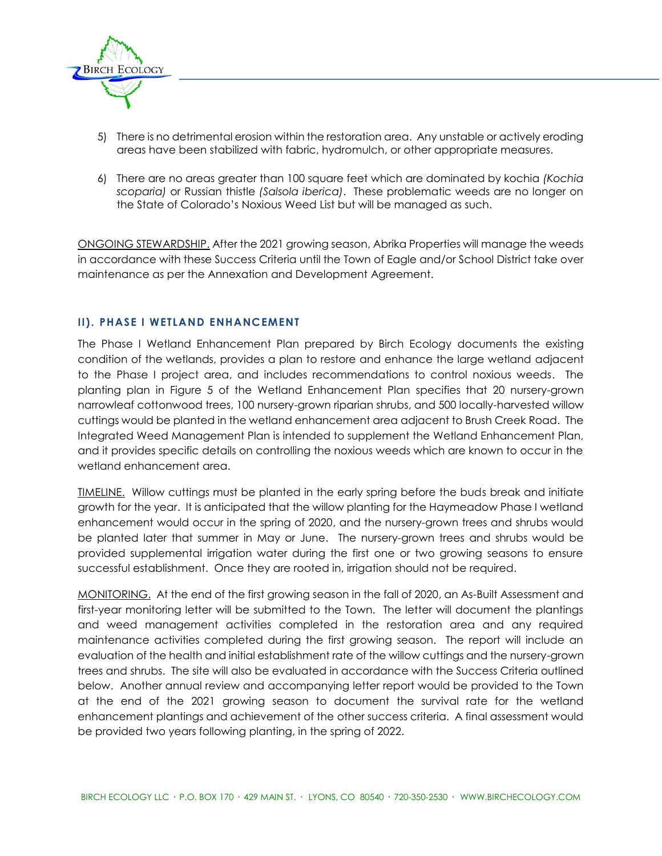

- 5) There is no detrimental erosion within the restoration area. Any unstable or actively eroding areas have been stabilized with fabric, hydromulch, or other appropriate measures.
- 6) There are no areas greater than 100 square feet which are dominated by kochia *(Kochia scoparia)* or Russian thistle *(Salsola iberica)*. These problematic weeds are no longer on the State of Colorado's Noxious Weed List but will be managed as such.

ONGOING STEWARDSHIP. After the 2021 growing season, Abrika Properties will manage the weeds in accordance with these Success Criteria until the Town of Eagle and/or School District take over maintenance as per the Annexation and Development Agreement.

## **II). PHASE I WETLAND ENHANCEMENT**

The Phase I Wetland Enhancement Plan prepared by Birch Ecology documents the existing condition of the wetlands, provides a plan to restore and enhance the large wetland adjacent to the Phase I project area, and includes recommendations to control noxious weeds. The planting plan in Figure 5 of the Wetland Enhancement Plan specifies that 20 nursery-grown narrowleaf cottonwood trees, 100 nursery-grown riparian shrubs, and 500 locally-harvested willow cuttings would be planted in the wetland enhancement area adjacent to Brush Creek Road. The Integrated Weed Management Plan is intended to supplement the Wetland Enhancement Plan, and it provides specific details on controlling the noxious weeds which are known to occur in the wetland enhancement area.

TIMELINE. Willow cuttings must be planted in the early spring before the buds break and initiate growth for the year. It is anticipated that the willow planting for the Haymeadow Phase I wetland enhancement would occur in the spring of 2020, and the nursery-grown trees and shrubs would be planted later that summer in May or June. The nursery-grown trees and shrubs would be provided supplemental irrigation water during the first one or two growing seasons to ensure successful establishment. Once they are rooted in, irrigation should not be required.

MONITORING. At the end of the first growing season in the fall of 2020, an As-Built Assessment and first-year monitoring letter will be submitted to the Town. The letter will document the plantings and weed management activities completed in the restoration area and any required maintenance activities completed during the first growing season. The report will include an evaluation of the health and initial establishment rate of the willow cuttings and the nursery-grown trees and shrubs. The site will also be evaluated in accordance with the Success Criteria outlined below. Another annual review and accompanying letter report would be provided to the Town at the end of the 2021 growing season to document the survival rate for the wetland enhancement plantings and achievement of the other success criteria. A final assessment would be provided two years following planting, in the spring of 2022.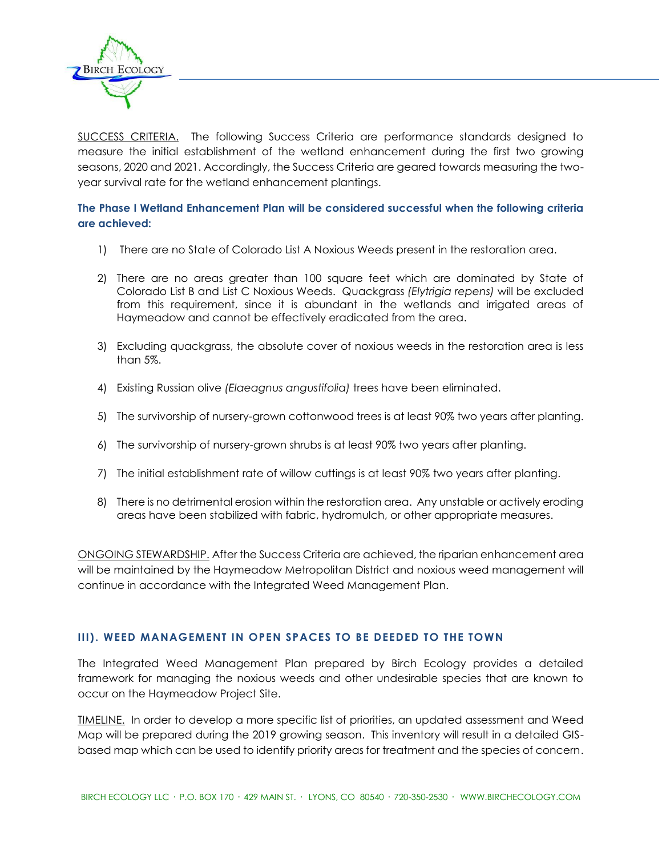

SUCCESS CRITERIA. The following Success Criteria are performance standards designed to measure the initial establishment of the wetland enhancement during the first two growing seasons, 2020 and 2021. Accordingly, the Success Criteria are geared towards measuring the twoyear survival rate for the wetland enhancement plantings.

## **The Phase I Wetland Enhancement Plan will be considered successful when the following criteria are achieved:**

- 1) There are no State of Colorado List A Noxious Weeds present in the restoration area.
- 2) There are no areas greater than 100 square feet which are dominated by State of Colorado List B and List C Noxious Weeds. Quackgrass *(Elytrigia repens)* will be excluded from this requirement, since it is abundant in the wetlands and irrigated areas of Haymeadow and cannot be effectively eradicated from the area.
- 3) Excluding quackgrass, the absolute cover of noxious weeds in the restoration area is less than 5%.
- 4) Existing Russian olive *(Elaeagnus angustifolia)* trees have been eliminated.
- 5) The survivorship of nursery-grown cottonwood trees is at least 90% two years after planting.
- 6) The survivorship of nursery-grown shrubs is at least 90% two years after planting.
- 7) The initial establishment rate of willow cuttings is at least 90% two years after planting.
- 8) There is no detrimental erosion within the restoration area. Any unstable or actively eroding areas have been stabilized with fabric, hydromulch, or other appropriate measures.

ONGOING STEWARDSHIP. After the Success Criteria are achieved, the riparian enhancement area will be maintained by the Haymeadow Metropolitan District and noxious weed management will continue in accordance with the Integrated Weed Management Plan.

## **III). WEED MANAGEMENT IN OPEN SPACES TO BE DEEDED TO THE TOWN**

The Integrated Weed Management Plan prepared by Birch Ecology provides a detailed framework for managing the noxious weeds and other undesirable species that are known to occur on the Haymeadow Project Site.

TIMELINE. In order to develop a more specific list of priorities, an updated assessment and Weed Map will be prepared during the 2019 growing season. This inventory will result in a detailed GISbased map which can be used to identify priority areas for treatment and the species of concern.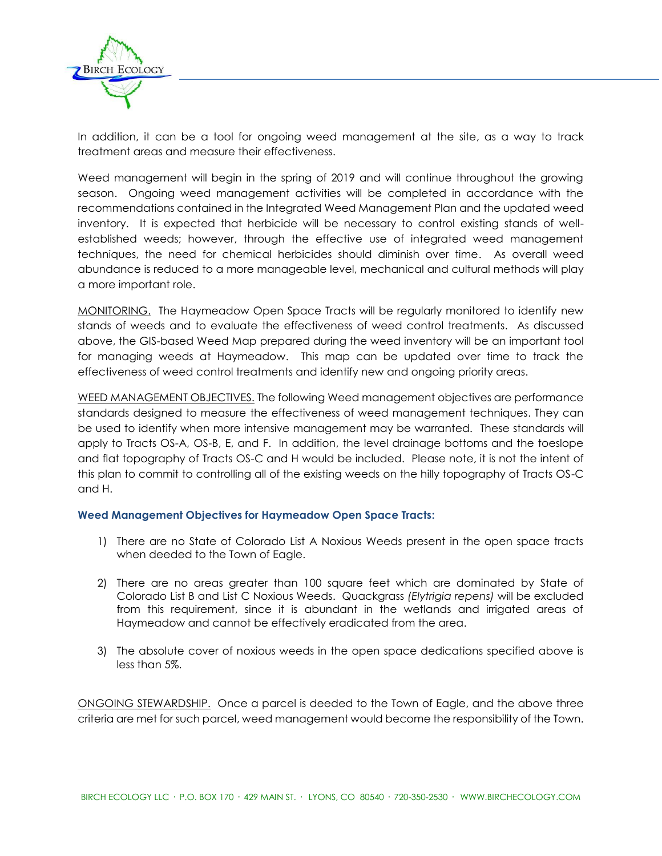

In addition, it can be a tool for ongoing weed management at the site, as a way to track treatment areas and measure their effectiveness.

Weed management will begin in the spring of 2019 and will continue throughout the growing season. Ongoing weed management activities will be completed in accordance with the recommendations contained in the Integrated Weed Management Plan and the updated weed inventory. It is expected that herbicide will be necessary to control existing stands of wellestablished weeds; however, through the effective use of integrated weed management techniques, the need for chemical herbicides should diminish over time. As overall weed abundance is reduced to a more manageable level, mechanical and cultural methods will play a more important role.

MONITORING. The Haymeadow Open Space Tracts will be regularly monitored to identify new stands of weeds and to evaluate the effectiveness of weed control treatments. As discussed above, the GIS-based Weed Map prepared during the weed inventory will be an important tool for managing weeds at Haymeadow. This map can be updated over time to track the effectiveness of weed control treatments and identify new and ongoing priority areas.

WEED MANAGEMENT OBJECTIVES. The following Weed management objectives are performance standards designed to measure the effectiveness of weed management techniques. They can be used to identify when more intensive management may be warranted. These standards will apply to Tracts OS-A, OS-B, E, and F. In addition, the level drainage bottoms and the toeslope and flat topography of Tracts OS-C and H would be included. Please note, it is not the intent of this plan to commit to controlling all of the existing weeds on the hilly topography of Tracts OS-C and H.

## **Weed Management Objectives for Haymeadow Open Space Tracts:**

- 1) There are no State of Colorado List A Noxious Weeds present in the open space tracts when deeded to the Town of Eagle.
- 2) There are no areas greater than 100 square feet which are dominated by State of Colorado List B and List C Noxious Weeds. Quackgrass *(Elytrigia repens)* will be excluded from this requirement, since it is abundant in the wetlands and irrigated areas of Haymeadow and cannot be effectively eradicated from the area.
- 3) The absolute cover of noxious weeds in the open space dedications specified above is less than 5%.

ONGOING STEWARDSHIP. Once a parcel is deeded to the Town of Eagle, and the above three criteria are met for such parcel, weed management would become the responsibility of the Town.